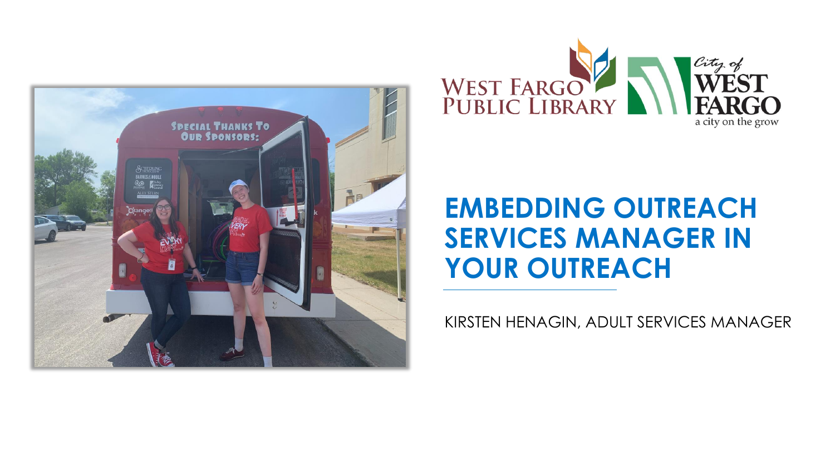



## **EMBEDDING OUTREACH SERVICES MANAGER IN YOUR OUTREACH**

KIRSTEN HENAGIN, ADULT SERVICES MANAGER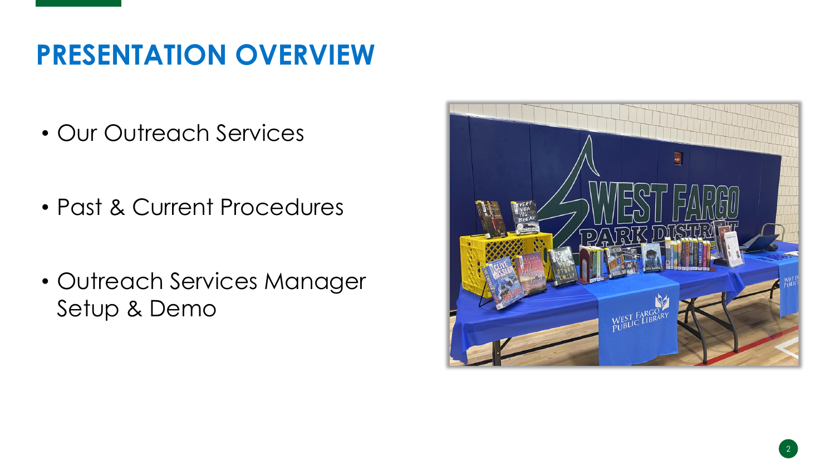## **PRESENTATION OVERVIEW**

• Our Outreach Services

- Past & Current Procedures
- Outreach Services Manager Setup & Demo

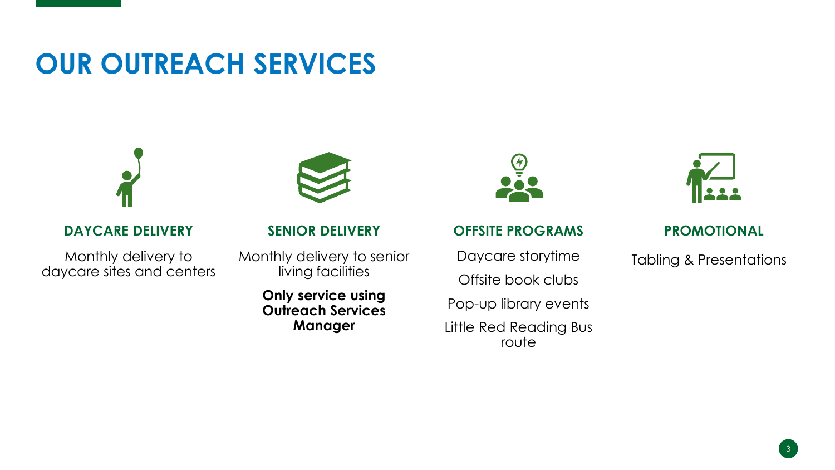## **OUR OUTREACH SERVICES**



**DAYCARE DELIVERY**

Monthly delivery to daycare sites and centers

#### **SENIOR DELIVERY**

Monthly delivery to senior living facilities

> **Only service using Outreach Services Manager**



#### **OFFSITE PROGRAMS PROMOTIONAL**

Daycare storytime Offsite book clubs Pop-up library events Little Red Reading Bus route



Tabling & Presentations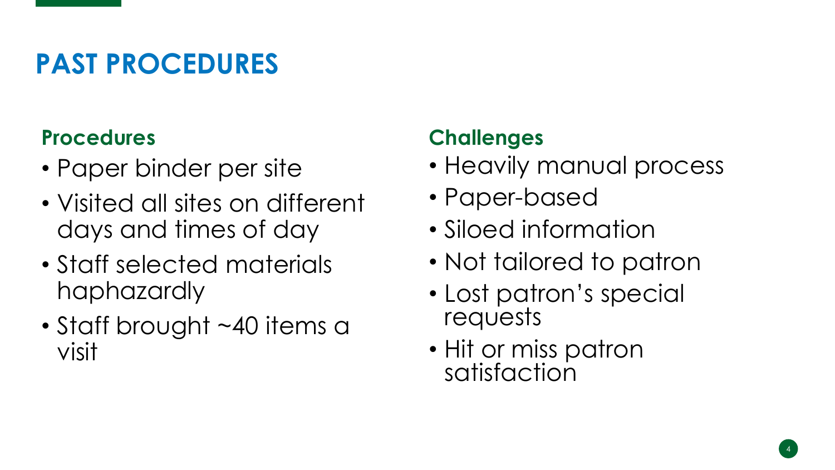# **PAST PROCEDURES**

#### **Procedures**

- Paper binder per site
- Visited all sites on different days and times of day
- Staff selected materials haphazardly
- Staff brought ~40 items a visit

### **Challenges**

- Heavily manual process
- Paper-based
- Siloed information
- Not tailored to patron
- Lost patron's special requests
- Hit or miss patron satisfaction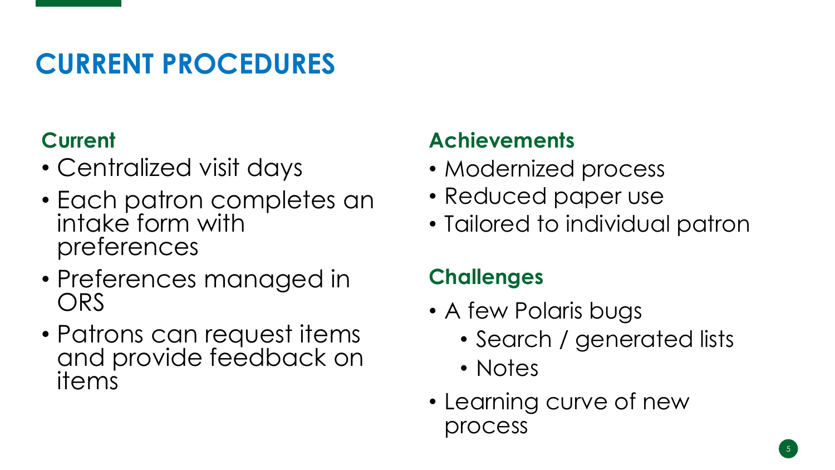# **CURRENT PROCEDURES**

### **Current**

- Centralized visit days
- Each patron completes an intake form with preferences
- Preferences managed in **ORS**
- Patrons can request items and provide feedback on items

## **Achievements**

- Modernized process
- Reduced paper use
- Tailored to individual patron

## **Challenges**

- A few Polaris bugs
	- Search / generated lists
	- Notes
- Learning curve of new process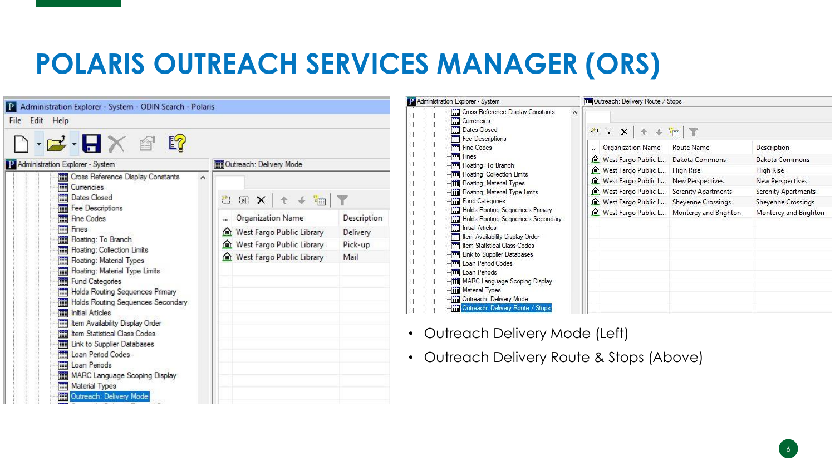| <b>THE Cross Reference Display Constants</b><br>$\wedge$<br><b>Dax + + T</b><br>Organization Name Route Name<br>Description                                                                                                                                                                                                                                                                                                                                                                                                                                                                                                                                                                                                                                    |
|----------------------------------------------------------------------------------------------------------------------------------------------------------------------------------------------------------------------------------------------------------------------------------------------------------------------------------------------------------------------------------------------------------------------------------------------------------------------------------------------------------------------------------------------------------------------------------------------------------------------------------------------------------------------------------------------------------------------------------------------------------------|
| West Fargo Public L Dakota Commons<br>Dakota Commons<br>Fill Floating: To Branch<br>West Fargo Public L High Rise<br><b>High Rise</b><br>Fill Floating: Collection Limits<br>West Fargo Public L New Perspectives<br><b>New Perspectives</b><br>Floating: Material Types<br>West Fargo Public L Serenity Apartments<br><b>Serenity Apartments</b><br>Fill Floating: Material Type Limits<br>West Fargo Public L Sheyenne Crossings<br><b>Sheyenne Crossings</b><br><b>Holds Routing Sequences Primary</b><br>Monterey and Brighton<br>Monterey and Brighton<br>Holds Routing Sequences Secondary<br><b>III</b> Item Availability Display Order<br><b>III</b> Item Statistical Class Codes<br><b>III</b> Link to Supplier Databases<br><b>Loan Period Codes</b> |
| <b>MARC</b> Language Scoping Display<br>Outreach: Delivery Mode<br><b>THE Outreach: Delivery Route / Stops</b>                                                                                                                                                                                                                                                                                                                                                                                                                                                                                                                                                                                                                                                 |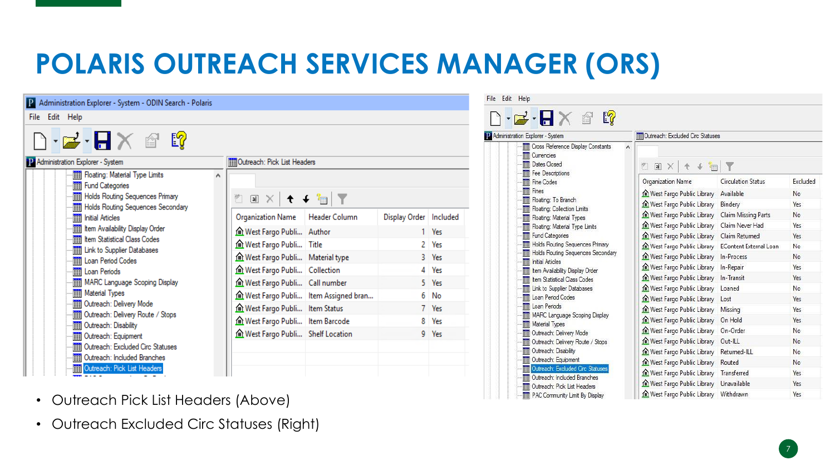| Administration Explorer - System - ODIN Search - Polaris                                                                                                                                                                                                                                                                                                                                                                                                                                                                                                                                                                                                                                                                                                                                                          |                                                                                                                                                                                                                                                                                                                                                                                                        |  |                          | File Edit Help                                                                 |                                    |                                                                                                                                                                                                                                                                                                                                                                                                                                                                                                                                                                                                                                                                                                                                           |                                                                                                                                                                                                                                                                                                                                                                                                                                                                                                                                                                                                                                                                                                                |                           |
|-------------------------------------------------------------------------------------------------------------------------------------------------------------------------------------------------------------------------------------------------------------------------------------------------------------------------------------------------------------------------------------------------------------------------------------------------------------------------------------------------------------------------------------------------------------------------------------------------------------------------------------------------------------------------------------------------------------------------------------------------------------------------------------------------------------------|--------------------------------------------------------------------------------------------------------------------------------------------------------------------------------------------------------------------------------------------------------------------------------------------------------------------------------------------------------------------------------------------------------|--|--------------------------|--------------------------------------------------------------------------------|------------------------------------|-------------------------------------------------------------------------------------------------------------------------------------------------------------------------------------------------------------------------------------------------------------------------------------------------------------------------------------------------------------------------------------------------------------------------------------------------------------------------------------------------------------------------------------------------------------------------------------------------------------------------------------------------------------------------------------------------------------------------------------------|----------------------------------------------------------------------------------------------------------------------------------------------------------------------------------------------------------------------------------------------------------------------------------------------------------------------------------------------------------------------------------------------------------------------------------------------------------------------------------------------------------------------------------------------------------------------------------------------------------------------------------------------------------------------------------------------------------------|---------------------------|
| File Edit Help                                                                                                                                                                                                                                                                                                                                                                                                                                                                                                                                                                                                                                                                                                                                                                                                    |                                                                                                                                                                                                                                                                                                                                                                                                        |  |                          |                                                                                |                                    | $D \cdot E \cdot H \times F$                                                                                                                                                                                                                                                                                                                                                                                                                                                                                                                                                                                                                                                                                                              |                                                                                                                                                                                                                                                                                                                                                                                                                                                                                                                                                                                                                                                                                                                |                           |
|                                                                                                                                                                                                                                                                                                                                                                                                                                                                                                                                                                                                                                                                                                                                                                                                                   |                                                                                                                                                                                                                                                                                                                                                                                                        |  |                          |                                                                                | P Administration Explorer - System |                                                                                                                                                                                                                                                                                                                                                                                                                                                                                                                                                                                                                                                                                                                                           | Outreach: Excluded Circ Statuses                                                                                                                                                                                                                                                                                                                                                                                                                                                                                                                                                                                                                                                                               |                           |
| $\bigcap \cdot \mathbb{Z} \cdot \mathbf{H} \times \mathbb{C}$<br>P Administration Explorer - System<br>Fill Floating: Material Type Limits<br>$\wedge$<br>Fund Categories<br><b>Fill Holds Routing Sequences Primary</b><br>Holds Routing Sequences Secondary<br><b>Till</b> Initial Articles<br><b>Fill</b> Item Availability Display Order<br><b>Fill</b> Item Statistical Class Codes<br>Fill Link to Supplier Databases<br><b>Till Loan Period Codes</b><br><b>Eil</b> Loan Periods<br><b>Fill MARC Language Scoping Display</b><br><b>Material Types</b><br><b>Dutreach: Delivery Mode</b><br><b>THE Outreach: Delivery Route / Stops</b><br><b>Disability</b> Outreach: Disability<br><b>Dutreach:</b> Equipment<br><b>Till Outreach: Excluded Circ Statuses</b><br><b>Fill Outreach: Included Branches</b> | Outreach: Pick List Headers<br>* ■ × │ ← ← 1 ↑ ↑<br>Organization Name   Header Column<br>Mest Fargo Publi Author<br><b>俞 West Fargo Publi</b> Title<br>West Fargo Publi Material type<br><b>Mest Fargo Publi</b> Collection<br>Mest Fargo Publi Call number<br>Mest Fargo Publi Item Assigned bran<br>Mest Fargo Publi Item Status<br>Mest Fargo Publi Item Barcode<br>Mest Fargo Publi Shelf Location |  | Display Order   Included | 1 Yes<br>2 Yes<br>3 Yes<br>4 Yes<br>5 Yes<br>$6$ No<br>7 Yes<br>8 Yes<br>9 Yes | Fines                              | <b>THE Cross Reference Display Constants</b><br><b>TIL</b> Currencies<br><b>Dates Closed</b><br>Fee Descriptions<br>Fine Codes<br>Floating: To Branch<br>Fill Floating: Collection Limits<br>Floating: Material Types<br>Fill Floating: Material Type Limits<br>Fund Categories<br><b>Holds Routing Sequences Primary</b><br>Holds Routing Sequences Secondary<br><b>Till</b> Initial Articles<br><b>THE Item Availability Display Order</b><br><b>TH</b> Item Statistical Class Codes<br><b>THE Link to Supplier Databases</b><br>Loan Period Codes<br><b>M</b> Loan Periods<br>MARC Language Scoping Display<br><b>Material Types</b><br><b>THE Outreach: Delivery Mode</b><br>Outreach: Delivery Route / Stops<br>Outreach: Disability | nax + + h T<br>Organization Name<br>Mest Fargo Public Library Available<br>Mest Fargo Public Library Bindery<br>Mest Fargo Public Library Claim Missing Parts<br>West Fargo Public Library Claim Never Had<br>Mest Fargo Public Library Claim Returned<br>Mest Fargo Public Library EContent External Loan<br>West Fargo Public Library In-Process<br>Mest Fargo Public Library In-Repair<br>Mest Fargo Public Library In-Transit<br>Mest Fargo Public Library Loaned<br>Mest Fargo Public Library Lost<br>Missing West Fargo Public Library Missing<br>West Fargo Public Library On Hold<br>West Fargo Public Library On-Order<br>Mest Fargo Public Library Out-ILL<br>West Fargo Public Library Returned-ILL | <b>Circulation Status</b> |
| <b>Et Cutreach: Pick List Headers</b>                                                                                                                                                                                                                                                                                                                                                                                                                                                                                                                                                                                                                                                                                                                                                                             |                                                                                                                                                                                                                                                                                                                                                                                                        |  |                          |                                                                                |                                    | Outreach: Equipment<br><b>THE Outreach: Excluded Circ Statuses</b><br><b>THE Outreach: Included Branches</b><br><b>But Outrosale: Diale List Hondom</b>                                                                                                                                                                                                                                                                                                                                                                                                                                                                                                                                                                                   | Mest Fargo Public Library Routed<br>West Fargo Public Library Transferred<br>Mest Fargo Public Library Unavailable                                                                                                                                                                                                                                                                                                                                                                                                                                                                                                                                                                                             |                           |

- Outreach Pick List Headers (Above)
- Outreach Excluded Circ Statuses (Right)

West Fargo Public Library Withdrawn

Outreach: Pick List Headers

PAC Community Limit By Display

Excluded

No

Yes

No

Yes

Yes

No

No

Yes

Yes

N<sub>o</sub>

Yes

Yes

Yes

No

No

**No** 

**No** 

Yes.

Yes

Yes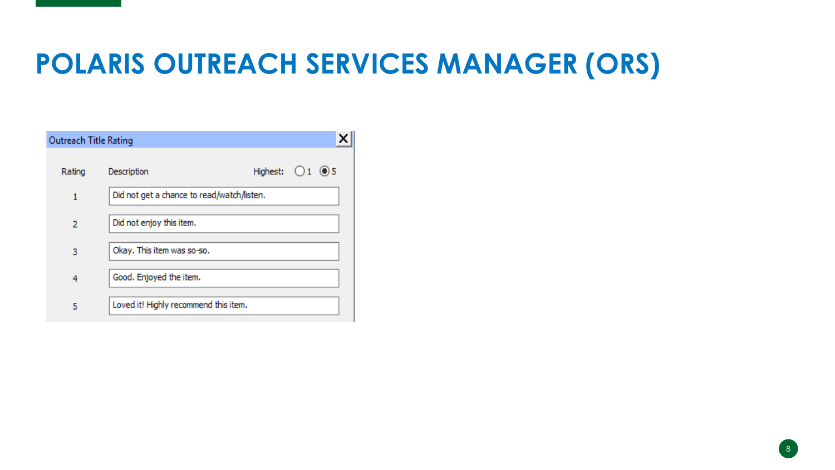| Outreach Title Rating |                                            |                                    |  |  |
|-----------------------|--------------------------------------------|------------------------------------|--|--|
| Rating                | Description                                | Highest: $\bigcirc$ 1 $\bigcirc$ 5 |  |  |
| 1                     | Did not get a chance to read/watch/listen. |                                    |  |  |
| 2                     | Did not enjoy this item.                   |                                    |  |  |
| 3                     | Okay. This item was so-so.                 |                                    |  |  |
| 4                     | Good. Enjoyed the item.                    |                                    |  |  |
| 5                     | Loved it! Highly recommend this item.      |                                    |  |  |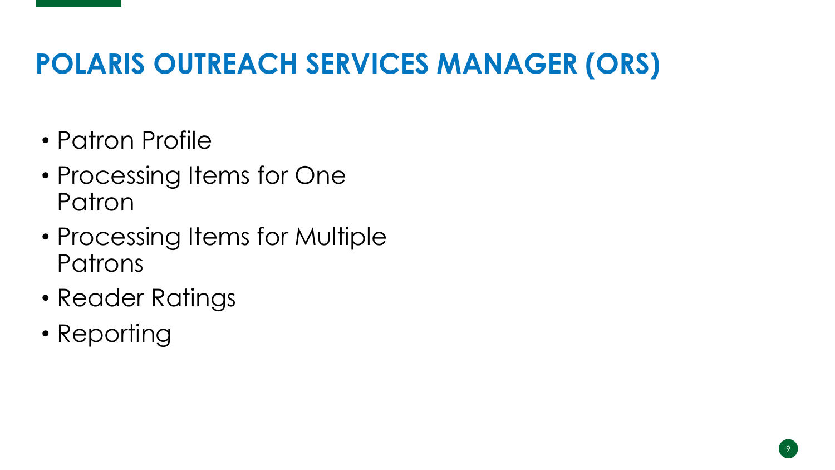- Patron Profile
- Processing Items for One Patron
- Processing Items for Multiple Patrons
- Reader Ratings
- Reporting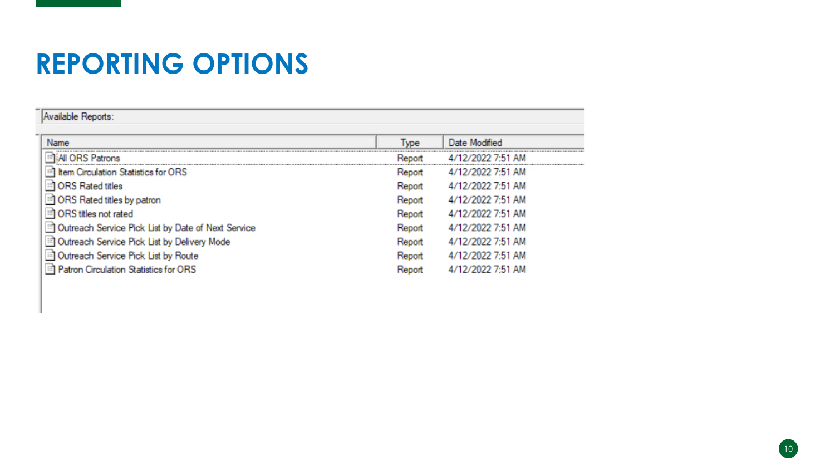## **REPORTING OPTIONS**

| Available Reports:                                      |        |                   |
|---------------------------------------------------------|--------|-------------------|
|                                                         |        |                   |
| Name                                                    | Type   | Date Modified     |
| All ORS Patrons                                         | Report | 4/12/2022 7:51 AM |
| Item Circulation Statistics for ORS                     | Report | 4/12/2022 7:51 AM |
| <b>in ORS Rated titles</b>                              | Report | 4/12/2022 7:51 AM |
| in ORS Rated titles by patron                           | Report | 4/12/2022 7:51 AM |
| <sup>:3</sup> ORS titles not rated                      | Report | 4/12/2022 7:51 AM |
| [32] Outreach Service Pick List by Date of Next Service | Report | 4/12/2022 7:51 AM |
| [iii] Outreach Service Pick List by Delivery Mode       | Report | 4/12/2022 7:51 AM |
| Dutreach Service Pick List by Route                     | Report | 4/12/2022 7:51 AM |
| <b>Example 1:</b> Patron Circulation Statistics for ORS | Report | 4/12/2022 7:51 AM |
|                                                         |        |                   |